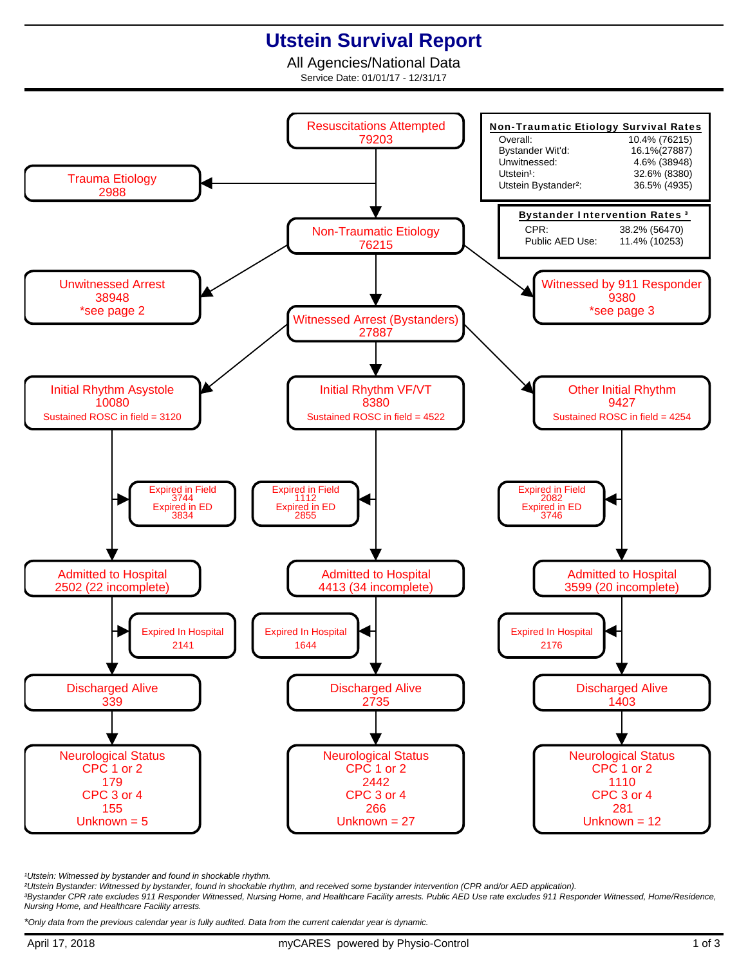## **Utstein Survival Report**

All Agencies/National Data Service Date: 01/01/17 - 12/31/17



<sup>1</sup>Utstein: Witnessed by bystander and found in shockable rhythm.

²Utstein Bystander: Witnessed by bystander, found in shockable rhythm, and received some bystander intervention (CPR and/or AED application).

³Bystander CPR rate excludes 911 Responder Witnessed, Nursing Home, and Healthcare Facility arrests. Public AED Use rate excludes 911 Responder Witnessed, Home/Residence, Nursing Home, and Healthcare Facility arrests.

\*Only data from the previous calendar year is fully audited. Data from the current calendar year is dynamic.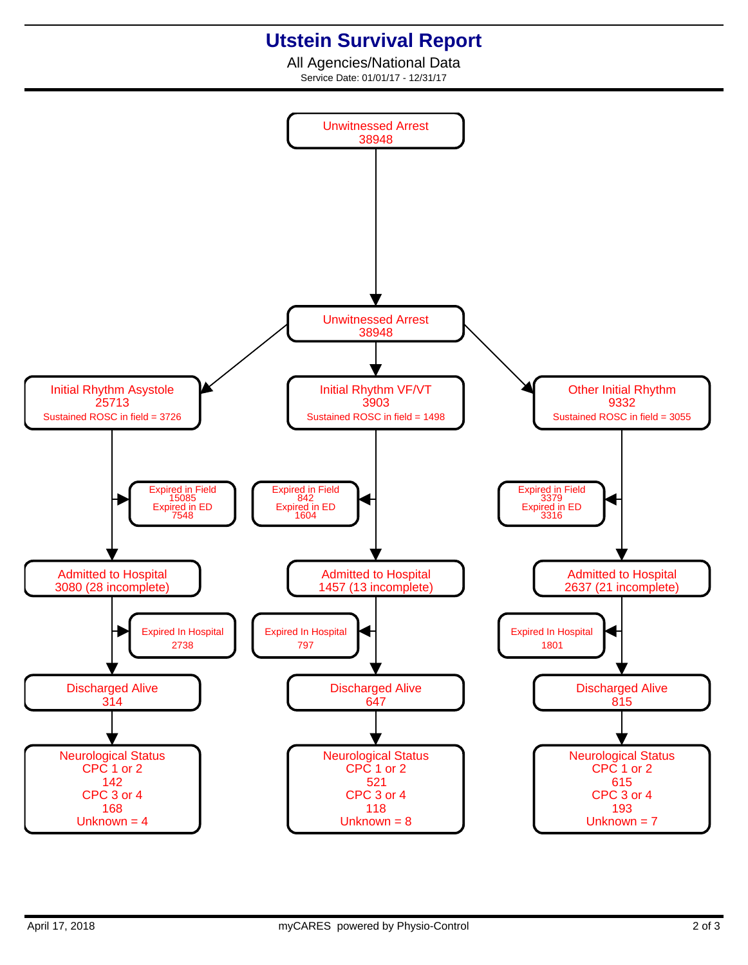## **Utstein Survival Report**

All Agencies/National Data Service Date: 01/01/17 - 12/31/17